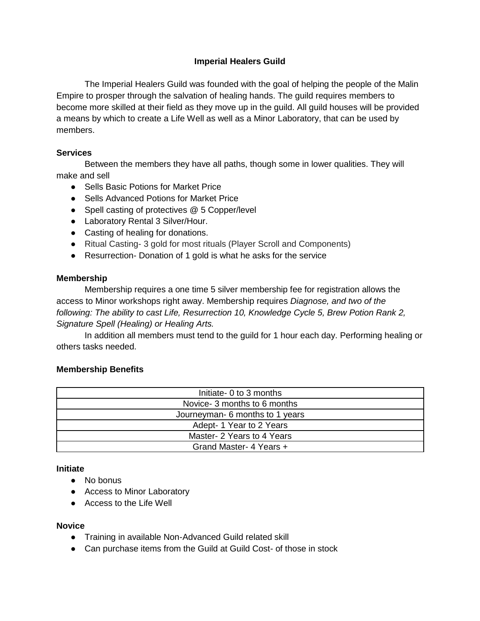# **Imperial Healers Guild**

The Imperial Healers Guild was founded with the goal of helping the people of the Malin Empire to prosper through the salvation of healing hands. The guild requires members to become more skilled at their field as they move up in the guild. All guild houses will be provided a means by which to create a Life Well as well as a Minor Laboratory, that can be used by members.

### **Services**

Between the members they have all paths, though some in lower qualities. They will make and sell

- Sells Basic Potions for Market Price
- Sells Advanced Potions for Market Price
- Spell casting of protectives @ 5 Copper/level
- Laboratory Rental 3 Silver/Hour.
- Casting of healing for donations.
- Ritual Casting- 3 gold for most rituals (Player Scroll and Components)
- Resurrection- Donation of 1 gold is what he asks for the service

#### **Membership**

Membership requires a one time 5 silver membership fee for registration allows the access to Minor workshops right away. Membership requires *Diagnose, and two of the following: The ability to cast Life, Resurrection 10, Knowledge Cycle 5, Brew Potion Rank 2, Signature Spell (Healing) or Healing Arts.*

In addition all members must tend to the guild for 1 hour each day. Performing healing or others tasks needed.

### **Membership Benefits**

| Initiate- 0 to 3 months         |
|---------------------------------|
| Novice- 3 months to 6 months    |
| Journeyman- 6 months to 1 years |
| Adept-1 Year to 2 Years         |
| Master- 2 Years to 4 Years      |
| Grand Master- 4 Years +         |

#### **Initiate**

- No bonus
- Access to Minor Laboratory
- Access to the Life Well

### **Novice**

- Training in available Non-Advanced Guild related skill
- Can purchase items from the Guild at Guild Cost- of those in stock